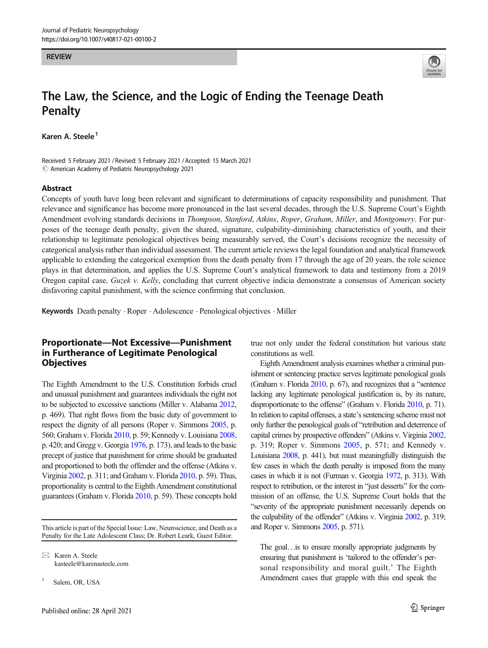#### **REVIEW**



# The Law, the Science, and the Logic of Ending the Teenage Death **Penalty**

Karen A. Steele<sup>1</sup>

Received: 5 February 2021 / Revised: 5 February 2021 /Accepted: 15 March 2021  $\odot$  American Academy of Pediatric Neuropsychology 2021

#### Abstract

Concepts of youth have long been relevant and significant to determinations of capacity responsibility and punishment. That relevance and significance has become more pronounced in the last several decades, through the U.S. Supreme Court's Eighth Amendment evolving standards decisions in Thompson, Stanford, Atkins, Roper, Graham, Miller, and Montgomery. For purposes of the teenage death penalty, given the shared, signature, culpability-diminishing characteristics of youth, and their relationship to legitimate penological objectives being measurably served, the Court's decisions recognize the necessity of categorical analysis rather than individual assessment. The current article reviews the legal foundation and analytical framework applicable to extending the categorical exemption from the death penalty from 17 through the age of 20 years, the role science plays in that determination, and applies the U.S. Supreme Court's analytical framework to data and testimony from a 2019 Oregon capital case, Guzek v. Kelly, concluding that current objective indicia demonstrate a consensus of American society disfavoring capital punishment, with the science confirming that conclusion.

Keywords Death penalty . Roper . Adolescence . Penological objectives . Miller

#### Proportionate—Not Excessive—Punishment in Furtherance of Legitimate Penological **Objectives**

The Eighth Amendment to the U.S. Constitution forbids cruel and unusual punishment and guarantees individuals the right not to be subjected to excessive sanctions (Miller v. Alabama [2012,](#page-16-0) p. 469). That right flows from the basic duty of government to respect the dignity of all persons (Roper v. Simmons [2005](#page-17-0), p. 560; Graham v. Florida [2010,](#page-16-0) p. 59; Kennedy v. Louisiana [2008,](#page-16-0) p. 420; and Gregg v. Georgia [1976,](#page-16-0) p. 173), and leads to the basic precept of justice that punishment for crime should be graduated and proportioned to both the offender and the offense (Atkins v. Virginia [2002](#page-16-0), p. 311; and Graham v. Florida [2010](#page-16-0), p. 59). Thus, proportionality is central to the Eighth Amendment constitutional guarantees (Graham v. Florida [2010,](#page-16-0) p. 59). These concepts hold

This article is part of the Special Issue: Law, Neuroscience, and Death as a Penalty for the Late Adolescent Class; Dr. Robert Leark, Guest Editor.

 $\boxtimes$  Karen A. Steele [kasteele@karenasteele.com](mailto:kasteele@karenasteele.com)

<sup>1</sup> Salem, OR, USA

true not only under the federal constitution but various state constitutions as well.

Eighth Amendment analysis examines whether a criminal punishment or sentencing practice serves legitimate penological goals (Graham v. Florida [2010,](#page-16-0) p. 67), and recognizes that a "sentence lacking any legitimate penological justification is, by its nature, disproportionate to the offense" (Graham v. Florida [2010](#page-16-0), p. 71). In relation to capital offenses, a state's sentencing scheme must not only further the penological goals of "retribution and deterrence of capital crimes by prospective offenders" (Atkins v. Virginia [2002,](#page-16-0) p. 319; Roper v. Simmons [2005,](#page-17-0) p. 571; and Kennedy v. Louisiana [2008,](#page-16-0) p. 441), but must meaningfully distinguish the few cases in which the death penalty is imposed from the many cases in which it is not (Furman v. Georgia [1972,](#page-16-0) p. 313). With respect to retribution, or the interest in "just desserts" for the commission of an offense, the U.S. Supreme Court holds that the "severity of the appropriate punishment necessarily depends on the culpability of the offender" (Atkins v. Virginia [2002,](#page-16-0) p. 319; and Roper v. Simmons [2005,](#page-17-0) p. 571).

The goal…is to ensure morally appropriate judgments by ensuring that punishment is 'tailored to the offender's personal responsibility and moral guilt.' The Eighth Amendment cases that grapple with this end speak the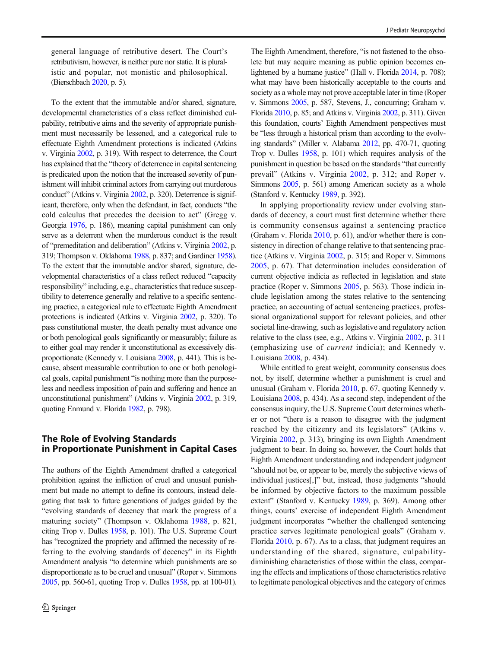general language of retributive desert. The Court's retributivism, however, is neither pure nor static. It is pluralistic and popular, not monistic and philosophical. (Bierschbach [2020,](#page-16-0) p. 5).

To the extent that the immutable and/or shared, signature, developmental characteristics of a class reflect diminished culpability, retributive aims and the severity of appropriate punishment must necessarily be lessened, and a categorical rule to effectuate Eighth Amendment protections is indicated (Atkins v. Virginia [2002](#page-16-0), p. 319). With respect to deterrence, the Court has explained that the "theory of deterrence in capital sentencing is predicated upon the notion that the increased severity of punishment will inhibit criminal actors from carrying out murderous conduct" (Atkins v. Virginia [2002](#page-16-0), p. 320). Deterrence is significant, therefore, only when the defendant, in fact, conducts "the cold calculus that precedes the decision to act" (Gregg v. Georgia [1976,](#page-16-0) p. 186), meaning capital punishment can only serve as a deterrent when the murderous conduct is the result of "premeditation and deliberation" (Atkins v. Virginia [2002](#page-16-0), p. 319; Thompson v. Oklahoma [1988,](#page-17-0) p. 837; and Gardiner [1958\)](#page-16-0). To the extent that the immutable and/or shared, signature, developmental characteristics of a class reflect reduced "capacity responsibility" including, e.g., characteristics that reduce susceptibility to deterrence generally and relative to a specific sentencing practice, a categorical rule to effectuate Eighth Amendment protections is indicated (Atkins v. Virginia [2002,](#page-16-0) p. 320). To pass constitutional muster, the death penalty must advance one or both penological goals significantly or measurably; failure as to either goal may render it unconstitutional as excessively disproportionate (Kennedy v. Louisiana [2008,](#page-16-0) p. 441). This is because, absent measurable contribution to one or both penological goals, capital punishment "is nothing more than the purposeless and needless imposition of pain and suffering and hence an unconstitutional punishment" (Atkins v. Virginia [2002](#page-16-0), p. 319, quoting Enmund v. Florida [1982](#page-16-0), p. 798).

## The Role of Evolving Standards in Proportionate Punishment in Capital Cases

The authors of the Eighth Amendment drafted a categorical prohibition against the infliction of cruel and unusual punishment but made no attempt to define its contours, instead delegating that task to future generations of judges guided by the "evolving standards of decency that mark the progress of a maturing society" (Thompson v. Oklahoma [1988,](#page-17-0) p. 821, citing Trop v. Dulles [1958,](#page-17-0) p. 101). The U.S. Supreme Court has "recognized the propriety and affirmed the necessity of referring to the evolving standards of decency" in its Eighth Amendment analysis "to determine which punishments are so disproportionate as to be cruel and unusual" (Roper v. Simmons [2005](#page-17-0), pp. 560-61, quoting Trop v. Dulles [1958,](#page-17-0) pp. at 100-01).

The Eighth Amendment, therefore, "is not fastened to the obsolete but may acquire meaning as public opinion becomes enlightened by a humane justice" (Hall v. Florida [2014,](#page-16-0) p. 708); what may have been historically acceptable to the courts and society as a whole may not prove acceptable later in time (Roper v. Simmons [2005,](#page-17-0) p. 587, Stevens, J., concurring; Graham v. Florida [2010](#page-16-0), p. 85; and Atkins v. Virginia [2002,](#page-16-0) p. 311). Given this foundation, courts' Eighth Amendment perspectives must be "less through a historical prism than according to the evolving standards" (Miller v. Alabama [2012](#page-16-0), pp. 470-71, quoting Trop v. Dulles [1958](#page-17-0), p. 101) which requires analysis of the punishment in question be based on the standards "that currently prevail" (Atkins v. Virginia [2002,](#page-16-0) p. 312; and Roper v. Simmons [2005](#page-17-0), p. 561) among American society as a whole (Stanford v. Kentucky [1989,](#page-17-0) p. 392).

In applying proportionality review under evolving standards of decency, a court must first determine whether there is community consensus against a sentencing practice (Graham v. Florida [2010,](#page-16-0) p. 61), and/or whether there is consistency in direction of change relative to that sentencing practice (Atkins v. Virginia [2002,](#page-16-0) p. 315; and Roper v. Simmons [2005,](#page-17-0) p. 67). That determination includes consideration of current objective indicia as reflected in legislation and state practice (Roper v. Simmons [2005,](#page-17-0) p. 563). Those indicia include legislation among the states relative to the sentencing practice, an accounting of actual sentencing practices, professional organizational support for relevant policies, and other societal line-drawing, such as legislative and regulatory action relative to the class (see, e.g., Atkins v. Virginia [2002,](#page-16-0) p. 311 (emphasizing use of current indicia); and Kennedy v. Louisiana [2008,](#page-16-0) p. 434).

While entitled to great weight, community consensus does not, by itself, determine whether a punishment is cruel and unusual (Graham v. Florida [2010](#page-16-0), p. 67, quoting Kennedy v. Louisiana [2008](#page-16-0), p. 434). As a second step, independent of the consensus inquiry, the U.S. Supreme Court determines whether or not "there is a reason to disagree with the judgment reached by the citizenry and its legislators" (Atkins v. Virginia [2002,](#page-16-0) p. 313), bringing its own Eighth Amendment judgment to bear. In doing so, however, the Court holds that Eighth Amendment understanding and independent judgment "should not be, or appear to be, merely the subjective views of individual justices[,]" but, instead, those judgments "should be informed by objective factors to the maximum possible extent" (Stanford v. Kentucky [1989](#page-17-0), p. 369). Among other things, courts' exercise of independent Eighth Amendment judgment incorporates "whether the challenged sentencing practice serves legitimate penological goals" (Graham v. Florida [2010](#page-16-0), p. 67). As to a class, that judgment requires an understanding of the shared, signature, culpabilitydiminishing characteristics of those within the class, comparing the effects and implications of those characteristics relative to legitimate penological objectives and the category of crimes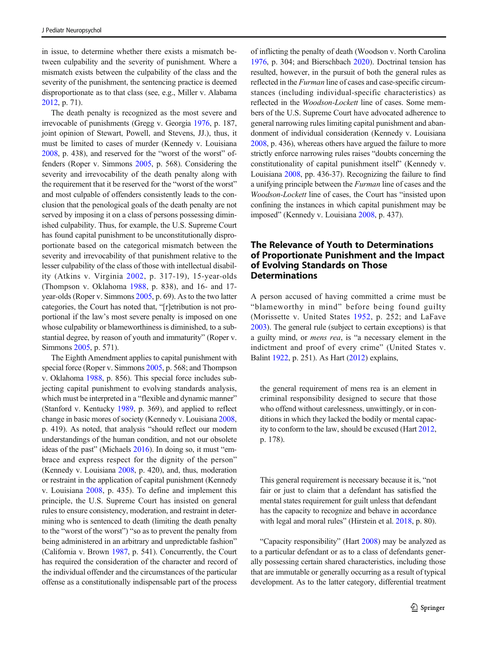in issue, to determine whether there exists a mismatch between culpability and the severity of punishment. Where a mismatch exists between the culpability of the class and the severity of the punishment, the sentencing practice is deemed disproportionate as to that class (see, e.g., Miller v. Alabama [2012,](#page-16-0) p. 71).

The death penalty is recognized as the most severe and irrevocable of punishments (Gregg v. Georgia [1976,](#page-16-0) p. 187, joint opinion of Stewart, Powell, and Stevens, JJ.), thus, it must be limited to cases of murder (Kennedy v. Louisiana [2008,](#page-16-0) p. 438), and reserved for the "worst of the worst" offenders (Roper v. Simmons [2005,](#page-17-0) p. 568). Considering the severity and irrevocability of the death penalty along with the requirement that it be reserved for the "worst of the worst" and most culpable of offenders consistently leads to the conclusion that the penological goals of the death penalty are not served by imposing it on a class of persons possessing diminished culpability. Thus, for example, the U.S. Supreme Court has found capital punishment to be unconstitutionally disproportionate based on the categorical mismatch between the severity and irrevocability of that punishment relative to the lesser culpability of the class of those with intellectual disability (Atkins v. Virginia [2002,](#page-16-0) p. 317-19), 15-year-olds (Thompson v. Oklahoma [1988,](#page-17-0) p. 838), and 16- and 17 year-olds (Roper v. Simmons [2005](#page-17-0), p. 69). As to the two latter categories, the Court has noted that, "[r]etribution is not proportional if the law's most severe penalty is imposed on one whose culpability or blameworthiness is diminished, to a substantial degree, by reason of youth and immaturity" (Roper v. Simmons [2005](#page-17-0), p. 571).

The Eighth Amendment applies to capital punishment with special force (Roper v. Simmons [2005](#page-17-0), p. 568; and Thompson v. Oklahoma [1988,](#page-17-0) p. 856). This special force includes subjecting capital punishment to evolving standards analysis, which must be interpreted in a "flexible and dynamic manner" (Stanford v. Kentucky [1989,](#page-17-0) p. 369), and applied to reflect change in basic mores of society (Kennedy v. Louisiana [2008,](#page-16-0) p. 419). As noted, that analysis "should reflect our modern understandings of the human condition, and not our obsolete ideas of the past" (Michaels [2016](#page-16-0)). In doing so, it must "embrace and express respect for the dignity of the person" (Kennedy v. Louisiana [2008,](#page-16-0) p. 420), and, thus, moderation or restraint in the application of capital punishment (Kennedy v. Louisiana [2008](#page-16-0), p. 435). To define and implement this principle, the U.S. Supreme Court has insisted on general rules to ensure consistency, moderation, and restraint in determining who is sentenced to death (limiting the death penalty to the "worst of the worst") "so as to prevent the penalty from being administered in an arbitrary and unpredictable fashion" (California v. Brown [1987](#page-16-0), p. 541). Concurrently, the Court has required the consideration of the character and record of the individual offender and the circumstances of the particular offense as a constitutionally indispensable part of the process

of inflicting the penalty of death (Woodson v. North Carolina [1976,](#page-17-0) p. 304; and Bierschbach [2020](#page-16-0)). Doctrinal tension has resulted, however, in the pursuit of both the general rules as reflected in the Furman line of cases and case-specific circumstances (including individual-specific characteristics) as reflected in the Woodson-Lockett line of cases. Some members of the U.S. Supreme Court have advocated adherence to general narrowing rules limiting capital punishment and abandonment of individual consideration (Kennedy v. Louisiana [2008,](#page-16-0) p. 436), whereas others have argued the failure to more strictly enforce narrowing rules raises "doubts concerning the constitutionality of capital punishment itself" (Kennedy v. Louisiana [2008,](#page-16-0) pp. 436-37). Recognizing the failure to find a unifying principle between the Furman line of cases and the Woodson-Lockett line of cases, the Court has "insisted upon confining the instances in which capital punishment may be imposed" (Kennedy v. Louisiana [2008](#page-16-0), p. 437).

## The Relevance of Youth to Determinations of Proportionate Punishment and the Impact of Evolving Standards on Those Determinations

A person accused of having committed a crime must be "blameworthy in mind" before being found guilty (Morissette v. United States [1952,](#page-17-0) p. 252; and LaFave [2003\)](#page-16-0). The general rule (subject to certain exceptions) is that a guilty mind, or mens rea, is "a necessary element in the indictment and proof of every crime" (United States v. Balint [1922,](#page-17-0) p. 251). As Hart [\(2012\)](#page-16-0) explains,

the general requirement of mens rea is an element in criminal responsibility designed to secure that those who offend without carelessness, unwittingly, or in conditions in which they lacked the bodily or mental capacity to conform to the law, should be excused (Hart [2012](#page-16-0), p. 178).

This general requirement is necessary because it is, "not fair or just to claim that a defendant has satisfied the mental states requirement for guilt unless that defendant has the capacity to recognize and behave in accordance with legal and moral rules" (Hirstein et al. [2018,](#page-16-0) p. 80).

"Capacity responsibility" (Hart [2008](#page-16-0)) may be analyzed as to a particular defendant or as to a class of defendants generally possessing certain shared characteristics, including those that are immutable or generally occurring as a result of typical development. As to the latter category, differential treatment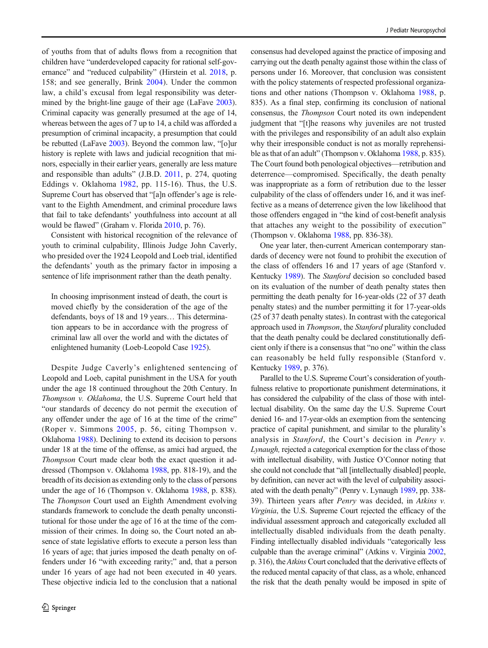of youths from that of adults flows from a recognition that children have "underdeveloped capacity for rational self-governance" and "reduced culpability" (Hirstein et al. [2018,](#page-16-0) p. 158; and see generally, Brink [2004](#page-16-0)). Under the common law, a child's excusal from legal responsibility was determined by the bright-line gauge of their age (LaFave [2003\)](#page-16-0). Criminal capacity was generally presumed at the age of 14, whereas between the ages of 7 up to 14, a child was afforded a presumption of criminal incapacity, a presumption that could be rebutted (LaFave [2003](#page-16-0)). Beyond the common law, "[o]ur history is replete with laws and judicial recognition that minors, especially in their earlier years, generally are less mature and responsible than adults" (J.B.D. [2011,](#page-16-0) p. 274, quoting Eddings v. Oklahoma [1982](#page-16-0), pp. 115-16). Thus, the U.S. Supreme Court has observed that "[a]n offender's age is relevant to the Eighth Amendment, and criminal procedure laws that fail to take defendants' youthfulness into account at all would be flawed" (Graham v. Florida [2010](#page-16-0), p. 76).

Consistent with historical recognition of the relevance of youth to criminal culpability, Illinois Judge John Caverly, who presided over the 1924 Leopold and Loeb trial, identified the defendants' youth as the primary factor in imposing a sentence of life imprisonment rather than the death penalty.

In choosing imprisonment instead of death, the court is moved chiefly by the consideration of the age of the defendants, boys of 18 and 19 years… This determination appears to be in accordance with the progress of criminal law all over the world and with the dictates of enlightened humanity (Loeb-Leopold Case [1925\)](#page-16-0).

Despite Judge Caverly's enlightened sentencing of Leopold and Loeb, capital punishment in the USA for youth under the age 18 continued throughout the 20th Century. In Thompson v. Oklahoma, the U.S. Supreme Court held that "our standards of decency do not permit the execution of any offender under the age of 16 at the time of the crime" (Roper v. Simmons [2005](#page-17-0), p. 56, citing Thompson v. Oklahoma [1988\)](#page-17-0). Declining to extend its decision to persons under 18 at the time of the offense, as amici had argued, the Thompson Court made clear both the exact question it addressed (Thompson v. Oklahoma [1988,](#page-17-0) pp. 818-19), and the breadth of its decision as extending only to the class of persons under the age of 16 (Thompson v. Oklahoma [1988,](#page-17-0) p. 838). The Thompson Court used an Eighth Amendment evolving standards framework to conclude the death penalty unconstitutional for those under the age of 16 at the time of the commission of their crimes. In doing so, the Court noted an absence of state legislative efforts to execute a person less than 16 years of age; that juries imposed the death penalty on offenders under 16 "with exceeding rarity;" and, that a person under 16 years of age had not been executed in 40 years. These objective indicia led to the conclusion that a national

consensus had developed against the practice of imposing and carrying out the death penalty against those within the class of persons under 16. Moreover, that conclusion was consistent with the policy statements of respected professional organizations and other nations (Thompson v. Oklahoma [1988](#page-17-0), p. 835). As a final step, confirming its conclusion of national consensus, the Thompson Court noted its own independent judgment that "[t]he reasons why juveniles are not trusted with the privileges and responsibility of an adult also explain why their irresponsible conduct is not as morally reprehensible as that of an adult" (Thompson v. Oklahoma [1988](#page-17-0), p. 835). The Court found both penological objectives—retribution and deterrence—compromised. Specifically, the death penalty was inappropriate as a form of retribution due to the lesser culpability of the class of offenders under 16, and it was ineffective as a means of deterrence given the low likelihood that those offenders engaged in "the kind of cost-benefit analysis that attaches any weight to the possibility of execution" (Thompson v. Oklahoma [1988](#page-17-0), pp. 836-38).

One year later, then-current American contemporary standards of decency were not found to prohibit the execution of the class of offenders 16 and 17 years of age (Stanford v. Kentucky [1989\)](#page-17-0). The Stanford decision so concluded based on its evaluation of the number of death penalty states then permitting the death penalty for 16-year-olds (22 of 37 death penalty states) and the number permitting it for 17-year-olds (25 of 37 death penalty states). In contrast with the categorical approach used in Thompson, the Stanford plurality concluded that the death penalty could be declared constitutionally deficient only if there is a consensus that "no one" within the class can reasonably be held fully responsible (Stanford v. Kentucky [1989](#page-17-0), p. 376).

Parallel to the U.S. Supreme Court's consideration of youthfulness relative to proportionate punishment determinations, it has considered the culpability of the class of those with intellectual disability. On the same day the U.S. Supreme Court denied 16- and 17-year-olds an exemption from the sentencing practice of capital punishment, and similar to the plurality's analysis in Stanford, the Court's decision in Penry v. Lynaugh, rejected a categorical exemption for the class of those with intellectual disability, with Justice O'Connor noting that she could not conclude that "all [intellectually disabled] people, by definition, can never act with the level of culpability associated with the death penalty" (Penry v. Lynaugh [1989,](#page-17-0) pp. 338- 39). Thirteen years after Penry was decided, in Atkins v. Virginia, the U.S. Supreme Court rejected the efficacy of the individual assessment approach and categorically excluded all intellectually disabled individuals from the death penalty. Finding intellectually disabled individuals "categorically less culpable than the average criminal" (Atkins v. Virginia [2002,](#page-16-0) p. 316), the Atkins Court concluded that the derivative effects of the reduced mental capacity of that class, as a whole, enhanced the risk that the death penalty would be imposed in spite of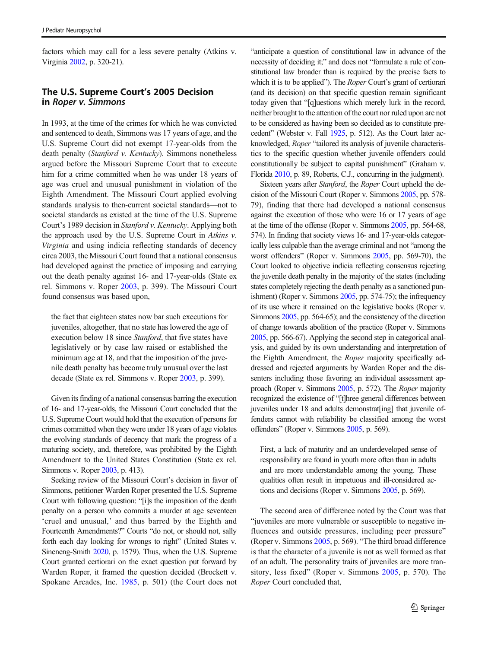factors which may call for a less severe penalty (Atkins v. Virginia [2002](#page-16-0), p. 320-21).

## The U.S. Supreme Court's 2005 Decision in Roper v. Simmons

In 1993, at the time of the crimes for which he was convicted and sentenced to death, Simmons was 17 years of age, and the U.S. Supreme Court did not exempt 17-year-olds from the death penalty (Stanford v. Kentucky). Simmons nonetheless argued before the Missouri Supreme Court that to execute him for a crime committed when he was under 18 years of age was cruel and unusual punishment in violation of the Eighth Amendment. The Missouri Court applied evolving standards analysis to then-current societal standards—not to societal standards as existed at the time of the U.S. Supreme Court's 1989 decision in Stanford v. Kentucky. Applying both the approach used by the U.S. Supreme Court in Atkins v. Virginia and using indicia reflecting standards of decency circa 2003, the Missouri Court found that a national consensus had developed against the practice of imposing and carrying out the death penalty against 16- and 17-year-olds (State ex rel. Simmons v. Roper [2003](#page-17-0), p. 399). The Missouri Court found consensus was based upon,

the fact that eighteen states now bar such executions for juveniles, altogether, that no state has lowered the age of execution below 18 since Stanford, that five states have legislatively or by case law raised or established the minimum age at 18, and that the imposition of the juvenile death penalty has become truly unusual over the last decade (State ex rel. Simmons v. Roper [2003](#page-17-0), p. 399).

Given its finding of a national consensus barring the execution of 16- and 17-year-olds, the Missouri Court concluded that the U.S. Supreme Court would hold that the execution of persons for crimes committed when they were under 18 years of age violates the evolving standards of decency that mark the progress of a maturing society, and, therefore, was prohibited by the Eighth Amendment to the United States Constitution (State ex rel. Simmons v. Roper [2003,](#page-17-0) p. 413).

Seeking review of the Missouri Court's decision in favor of Simmons, petitioner Warden Roper presented the U.S. Supreme Court with following question: "[i]s the imposition of the death penalty on a person who commits a murder at age seventeen 'cruel and unusual,' and thus barred by the Eighth and Fourteenth Amendments?" Courts "do not, or should not, sally forth each day looking for wrongs to right" (United States v. Sineneng-Smith [2020](#page-17-0), p. 1579). Thus, when the U.S. Supreme Court granted certiorari on the exact question put forward by Warden Roper, it framed the question decided (Brockett v. Spokane Arcades, Inc. [1985,](#page-16-0) p. 501) (the Court does not

"anticipate a question of constitutional law in advance of the necessity of deciding it;" and does not "formulate a rule of constitutional law broader than is required by the precise facts to which it is to be applied"). The *Roper* Court's grant of certiorari (and its decision) on that specific question remain significant today given that "[q]uestions which merely lurk in the record, neither brought to the attention of the court nor ruled upon are not to be considered as having been so decided as to constitute precedent" (Webster v. Fall [1925,](#page-17-0) p. 512). As the Court later acknowledged, Roper "tailored its analysis of juvenile characteristics to the specific question whether juvenile offenders could constitutionally be subject to capital punishment" (Graham v. Florida [2010,](#page-16-0) p. 89, Roberts, C.J., concurring in the judgment).

Sixteen years after Stanford, the Roper Court upheld the decision of the Missouri Court (Roper v. Simmons [2005,](#page-17-0) pp. 578- 79), finding that there had developed a national consensus against the execution of those who were 16 or 17 years of age at the time of the offense (Roper v. Simmons [2005](#page-17-0), pp. 564-68, 574). In finding that society views 16- and 17-year-olds categorically less culpable than the average criminal and not "among the worst offenders" (Roper v. Simmons [2005,](#page-17-0) pp. 569-70), the Court looked to objective indicia reflecting consensus rejecting the juvenile death penalty in the majority of the states (including states completely rejecting the death penalty as a sanctioned punishment) (Roper v. Simmons [2005](#page-17-0), pp. 574-75); the infrequency of its use where it remained on the legislative books (Roper v. Simmons [2005](#page-17-0), pp. 564-65); and the consistency of the direction of change towards abolition of the practice (Roper v. Simmons [2005,](#page-17-0) pp. 566-67). Applying the second step in categorical analysis, and guided by its own understanding and interpretation of the Eighth Amendment, the Roper majority specifically addressed and rejected arguments by Warden Roper and the dissenters including those favoring an individual assessment approach (Roper v. Simmons [2005](#page-17-0), p. 572). The Roper majority recognized the existence of "[t]hree general differences between juveniles under 18 and adults demonstrat[ing] that juvenile offenders cannot with reliability be classified among the worst offenders" (Roper v. Simmons [2005](#page-17-0), p. 569).

First, a lack of maturity and an underdeveloped sense of responsibility are found in youth more often than in adults and are more understandable among the young. These qualities often result in impetuous and ill-considered actions and decisions (Roper v. Simmons [2005,](#page-17-0) p. 569).

The second area of difference noted by the Court was that "juveniles are more vulnerable or susceptible to negative influences and outside pressures, including peer pressure" (Roper v. Simmons [2005](#page-17-0), p. 569). "The third broad difference is that the character of a juvenile is not as well formed as that of an adult. The personality traits of juveniles are more transitory, less fixed" (Roper v. Simmons [2005,](#page-17-0) p. 570). The Roper Court concluded that,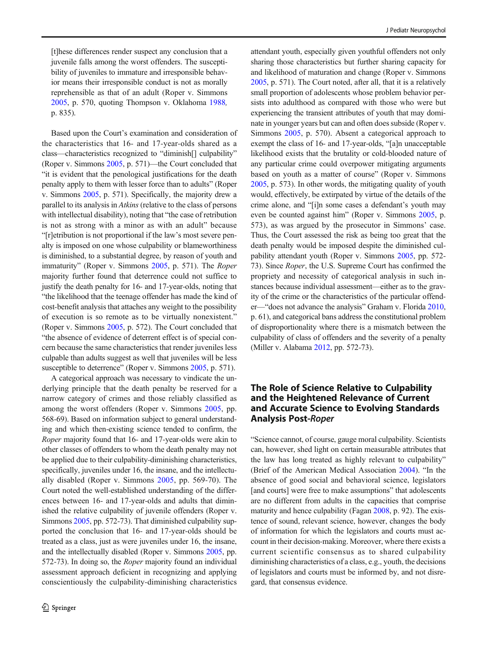[t]hese differences render suspect any conclusion that a juvenile falls among the worst offenders. The susceptibility of juveniles to immature and irresponsible behavior means their irresponsible conduct is not as morally reprehensible as that of an adult (Roper v. Simmons [2005](#page-17-0), p. 570, quoting Thompson v. Oklahoma [1988](#page-17-0), p. 835).

Based upon the Court's examination and consideration of the characteristics that 16- and 17-year-olds shared as a class—characteristics recognized to "diminish[] culpability" (Roper v. Simmons [2005,](#page-17-0) p. 571)—the Court concluded that "it is evident that the penological justifications for the death penalty apply to them with lesser force than to adults" (Roper v. Simmons [2005,](#page-17-0) p. 571). Specifically, the majority drew a parallel to its analysis in Atkins(relative to the class of persons with intellectual disability), noting that "the case of retribution is not as strong with a minor as with an adult" because "[r]etribution is not proportional if the law's most severe penalty is imposed on one whose culpability or blameworthiness is diminished, to a substantial degree, by reason of youth and immaturity" (Roper v. Simmons [2005,](#page-17-0) p. 571). The Roper majority further found that deterrence could not suffice to justify the death penalty for 16- and 17-year-olds, noting that "the likelihood that the teenage offender has made the kind of cost-benefit analysis that attaches any weight to the possibility of execution is so remote as to be virtually nonexistent." (Roper v. Simmons [2005](#page-17-0), p. 572). The Court concluded that "the absence of evidence of deterrent effect is of special concern because the same characteristics that render juveniles less culpable than adults suggest as well that juveniles will be less susceptible to deterrence" (Roper v. Simmons [2005](#page-17-0), p. 571).

A categorical approach was necessary to vindicate the underlying principle that the death penalty be reserved for a narrow category of crimes and those reliably classified as among the worst offenders (Roper v. Simmons [2005](#page-17-0), pp. 568-69). Based on information subject to general understanding and which then-existing science tended to confirm, the Roper majority found that 16- and 17-year-olds were akin to other classes of offenders to whom the death penalty may not be applied due to their culpability-diminishing characteristics, specifically, juveniles under 16, the insane, and the intellectually disabled (Roper v. Simmons [2005](#page-17-0), pp. 569-70). The Court noted the well-established understanding of the differences between 16- and 17-year-olds and adults that diminished the relative culpability of juvenile offenders (Roper v. Simmons [2005,](#page-17-0) pp. 572-73). That diminished culpability supported the conclusion that 16- and 17-year-olds should be treated as a class, just as were juveniles under 16, the insane, and the intellectually disabled (Roper v. Simmons [2005](#page-17-0), pp. 572-73). In doing so, the Roper majority found an individual assessment approach deficient in recognizing and applying conscientiously the culpability-diminishing characteristics

attendant youth, especially given youthful offenders not only sharing those characteristics but further sharing capacity for and likelihood of maturation and change (Roper v. Simmons [2005,](#page-17-0) p. 571). The Court noted, after all, that it is a relatively small proportion of adolescents whose problem behavior persists into adulthood as compared with those who were but experiencing the transient attributes of youth that may dominate in younger years but can and often does subside (Roper v. Simmons [2005](#page-17-0), p. 570). Absent a categorical approach to exempt the class of 16- and 17-year-olds, "[a]n unacceptable likelihood exists that the brutality or cold-blooded nature of any particular crime could overpower mitigating arguments based on youth as a matter of course" (Roper v. Simmons [2005,](#page-17-0) p. 573). In other words, the mitigating quality of youth would, effectively, be extirpated by virtue of the details of the crime alone, and "[i]n some cases a defendant's youth may even be counted against him" (Roper v. Simmons [2005,](#page-17-0) p. 573), as was argued by the prosecutor in Simmons' case. Thus, the Court assessed the risk as being too great that the death penalty would be imposed despite the diminished culpability attendant youth (Roper v. Simmons [2005,](#page-17-0) pp. 572- 73). Since Roper, the U.S. Supreme Court has confirmed the propriety and necessity of categorical analysis in such instances because individual assessment—either as to the gravity of the crime or the characteristics of the particular offender—"does not advance the analysis" Graham v. Florida [2010,](#page-16-0) p. 61), and categorical bans address the constitutional problem of disproportionality where there is a mismatch between the culpability of class of offenders and the severity of a penalty (Miller v. Alabama [2012](#page-16-0), pp. 572-73).

#### The Role of Science Relative to Culpability and the Heightened Relevance of Current and Accurate Science to Evolving Standards Analysis Post-Roper

"Science cannot, of course, gauge moral culpability. Scientists can, however, shed light on certain measurable attributes that the law has long treated as highly relevant to culpability" (Brief of the American Medical Association [2004\)](#page-16-0). "In the absence of good social and behavioral science, legislators [and courts] were free to make assumptions" that adolescents are no different from adults in the capacities that comprise maturity and hence culpability (Fagan [2008](#page-16-0), p. 92). The existence of sound, relevant science, however, changes the body of information for which the legislators and courts must account in their decision-making. Moreover, where there exists a current scientific consensus as to shared culpability diminishing characteristics of a class, e.g., youth, the decisions of legislators and courts must be informed by, and not disregard, that consensus evidence.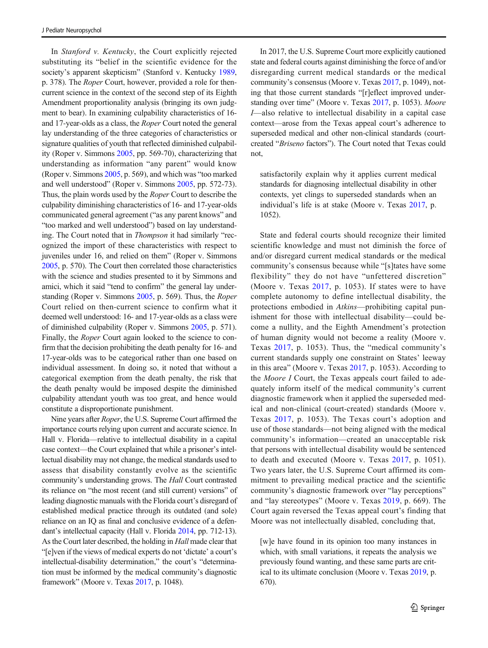In Stanford v. Kentucky, the Court explicitly rejected substituting its "belief in the scientific evidence for the society's apparent skepticism" (Stanford v. Kentucky [1989,](#page-17-0) p. 378). The Roper Court, however, provided a role for thencurrent science in the context of the second step of its Eighth Amendment proportionality analysis (bringing its own judgment to bear). In examining culpability characteristics of 16 and 17-year-olds as a class, the Roper Court noted the general lay understanding of the three categories of characteristics or signature qualities of youth that reflected diminished culpability (Roper v. Simmons [2005](#page-17-0), pp. 569-70), characterizing that understanding as information "any parent" would know (Roper v. Simmons [2005](#page-17-0), p. 569), and which was "too marked and well understood" (Roper v. Simmons [2005,](#page-17-0) pp. 572-73). Thus, the plain words used by the Roper Court to describe the culpability diminishing characteristics of 16- and 17-year-olds communicated general agreement ("as any parent knows" and "too marked and well understood") based on lay understanding. The Court noted that in Thompson it had similarly "recognized the import of these characteristics with respect to juveniles under 16, and relied on them" (Roper v. Simmons [2005,](#page-17-0) p. 570). The Court then correlated those characteristics with the science and studies presented to it by Simmons and amici, which it said "tend to confirm" the general lay understanding (Roper v. Simmons [2005,](#page-17-0) p. 569). Thus, the Roper Court relied on then-current science to confirm what it deemed well understood: 16- and 17-year-olds as a class were of diminished culpability (Roper v. Simmons [2005,](#page-17-0) p. 571). Finally, the Roper Court again looked to the science to confirm that the decision prohibiting the death penalty for 16- and 17-year-olds was to be categorical rather than one based on individual assessment. In doing so, it noted that without a categorical exemption from the death penalty, the risk that the death penalty would be imposed despite the diminished culpability attendant youth was too great, and hence would constitute a disproportionate punishment.

Nine years after Roper, the U.S. Supreme Court affirmed the importance courts relying upon current and accurate science. In Hall v. Florida—relative to intellectual disability in a capital case context—the Court explained that while a prisoner's intellectual disability may not change, the medical standards used to assess that disability constantly evolve as the scientific community's understanding grows. The Hall Court contrasted its reliance on "the most recent (and still current) versions" of leading diagnostic manuals with the Florida court's disregard of established medical practice through its outdated (and sole) reliance on an IQ as final and conclusive evidence of a defendant's intellectual capacity (Hall v. Florida [2014,](#page-16-0) pp. 712-13). As the Court later described, the holding in Hall made clear that "[e]ven if the views of medical experts do not 'dictate' a court's intellectual-disability determination," the court's "determination must be informed by the medical community's diagnostic framework" (Moore v. Texas [2017,](#page-17-0) p. 1048).

In 2017, the U.S. Supreme Court more explicitly cautioned state and federal courts against diminishing the force of and/or disregarding current medical standards or the medical community's consensus (Moore v. Texas [2017,](#page-17-0) p. 1049), noting that those current standards "[r]eflect improved under-standing over time" (Moore v. Texas [2017](#page-17-0), p. 1053). Moore I—also relative to intellectual disability in a capital case context—arose from the Texas appeal court's adherence to superseded medical and other non-clinical standards (courtcreated "Briseno factors"). The Court noted that Texas could not,

satisfactorily explain why it applies current medical standards for diagnosing intellectual disability in other contexts, yet clings to superseded standards when an individual's life is at stake (Moore v. Texas [2017](#page-17-0), p. 1052).

State and federal courts should recognize their limited scientific knowledge and must not diminish the force of and/or disregard current medical standards or the medical community's consensus because while "[s]tates have some flexibility" they do not have "unfettered discretion" (Moore v. Texas [2017,](#page-17-0) p. 1053). If states were to have complete autonomy to define intellectual disability, the protections embodied in Atkins—prohibiting capital punishment for those with intellectual disability—could become a nullity, and the Eighth Amendment's protection of human dignity would not become a reality (Moore v. Texas [2017](#page-17-0), p. 1053). Thus, the "medical community's current standards supply one constraint on States' leeway in this area" (Moore v. Texas [2017](#page-17-0), p. 1053). According to the Moore I Court, the Texas appeals court failed to adequately inform itself of the medical community's current diagnostic framework when it applied the superseded medical and non-clinical (court-created) standards (Moore v. Texas [2017](#page-17-0), p. 1053). The Texas court's adoption and use of those standards—not being aligned with the medical community's information—created an unacceptable risk that persons with intellectual disability would be sentenced to death and executed (Moore v. Texas [2017](#page-17-0), p. 1051). Two years later, the U.S. Supreme Court affirmed its commitment to prevailing medical practice and the scientific community's diagnostic framework over "lay perceptions" and "lay stereotypes" (Moore v. Texas [2019](#page-17-0), p. 669). The Court again reversed the Texas appeal court's finding that Moore was not intellectually disabled, concluding that,

[w]e have found in its opinion too many instances in which, with small variations, it repeats the analysis we previously found wanting, and these same parts are critical to its ultimate conclusion (Moore v. Texas [2019,](#page-17-0) p. 670).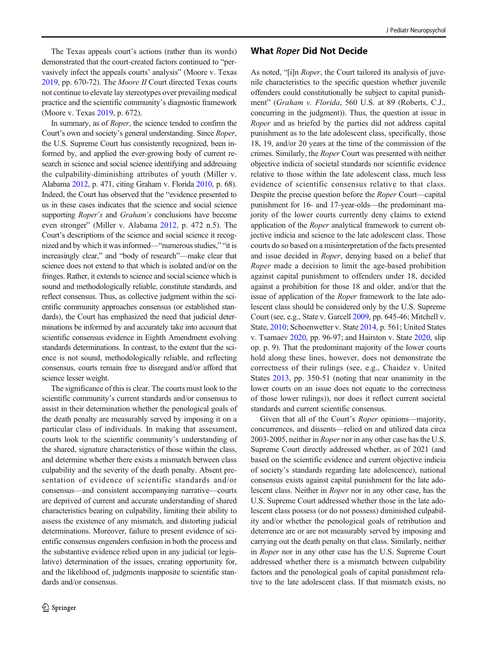The Texas appeals court's actions (rather than its words) demonstrated that the court-created factors continued to "pervasively infect the appeals courts' analysis" (Moore v. Texas [2019,](#page-17-0) pp. 670-72). The Moore II Court directed Texas courts not continue to elevate lay stereotypes over prevailing medical practice and the scientific community's diagnostic framework (Moore v. Texas [2019](#page-17-0), p. 672).

In summary, as of Roper, the science tended to confirm the Court's own and society's general understanding. Since Roper, the U.S. Supreme Court has consistently recognized, been informed by, and applied the ever-growing body of current research in science and social science identifying and addressing the culpability-diminishing attributes of youth (Miller v. Alabama [2012](#page-16-0), p. 471, citing Graham v. Florida [2010,](#page-16-0) p. 68). Indeed, the Court has observed that the "evidence presented to us in these cases indicates that the science and social science supporting *Roper's* and *Graham's* conclusions have become even stronger" (Miller v. Alabama [2012,](#page-16-0) p. 472 n.5). The Court's descriptions of the science and social science it recognized and by which it was informed—"numerous studies," "it is increasingly clear," and "body of research"—make clear that science does not extend to that which is isolated and/or on the fringes. Rather, it extends to science and social science which is sound and methodologically reliable, constitute standards, and reflect consensus. Thus, as collective judgment within the scientific community approaches consensus (or established standards), the Court has emphasized the need that judicial determinations be informed by and accurately take into account that scientific consensus evidence in Eighth Amendment evolving standards determinations. In contrast, to the extent that the science is not sound, methodologically reliable, and reflecting consensus, courts remain free to disregard and/or afford that science lesser weight.

The significance of this is clear. The courts must look to the scientific community's current standards and/or consensus to assist in their determination whether the penological goals of the death penalty are measurably served by imposing it on a particular class of individuals. In making that assessment, courts look to the scientific community's understanding of the shared, signature characteristics of those within the class, and determine whether there exists a mismatch between class culpability and the severity of the death penalty. Absent presentation of evidence of scientific standards and/or consensus—and consistent accompanying narrative—courts are deprived of current and accurate understanding of shared characteristics bearing on culpability, limiting their ability to assess the existence of any mismatch, and distorting judicial determinations. Moreover, failure to present evidence of scientific consensus engenders confusion in both the process and the substantive evidence relied upon in any judicial (or legislative) determination of the issues, creating opportunity for, and the likelihood of, judgments inapposite to scientific standards and/or consensus.

#### What Roper Did Not Decide

As noted, "[i]n Roper, the Court tailored its analysis of juvenile characteristics to the specific question whether juvenile offenders could constitutionally be subject to capital punishment" (Graham v. Florida, 560 U.S. at 89 (Roberts, C.J., concurring in the judgment)). Thus, the question at issue in Roper and as briefed by the parties did not address capital punishment as to the late adolescent class, specifically, those 18, 19, and/or 20 years at the time of the commission of the crimes. Similarly, the Roper Court was presented with neither objective indicia of societal standards nor scientific evidence relative to those within the late adolescent class, much less evidence of scientific consensus relative to that class. Despite the precise question before the Roper Court—capital punishment for 16- and 17-year-olds—the predominant majority of the lower courts currently deny claims to extend application of the Roper analytical framework to current objective indicia and science to the late adolescent class. Those courts do so based on a misinterpretation of the facts presented and issue decided in Roper, denying based on a belief that Roper made a decision to limit the age-based prohibition against capital punishment to offenders under 18, decided against a prohibition for those 18 and older, and/or that the issue of application of the Roper framework to the late adolescent class should be considered only by the U.S. Supreme Court (see, e.g., State v. Garcell [2009](#page-17-0), pp. 645-46; Mitchell v. State, [2010](#page-17-0); Schoenwetter v. State [2014](#page-17-0), p. 561; United States v. Tsarnaev [2020,](#page-17-0) pp. 96-97; and Hairston v. State [2020](#page-16-0), slip op. p. 9). That the predominant majority of the lower courts hold along these lines, however, does not demonstrate the correctness of their rulings (see, e.g., Chaidez v. United States [2013,](#page-16-0) pp. 350-51 (noting that near unanimity in the lower courts on an issue does not equate to the correctness of those lower rulings)), nor does it reflect current societal standards and current scientific consensus.

Given that all of the Court's Roper opinions—majority, concurrences, and dissents—relied on and utilized data circa 2003-2005, neither in Roper nor in any other case has the U.S. Supreme Court directly addressed whether, as of 2021 (and based on the scientific evidence and current objective indicia of society's standards regarding late adolescence), national consensus exists against capital punishment for the late adolescent class. Neither in Roper nor in any other case, has the U.S. Supreme Court addressed whether those in the late adolescent class possess (or do not possess) diminished culpability and/or whether the penological goals of retribution and deterrence are or are not measurably served by imposing and carrying out the death penalty on that class. Similarly, neither in Roper nor in any other case has the U.S. Supreme Court addressed whether there is a mismatch between culpability factors and the penological goals of capital punishment relative to the late adolescent class. If that mismatch exists, no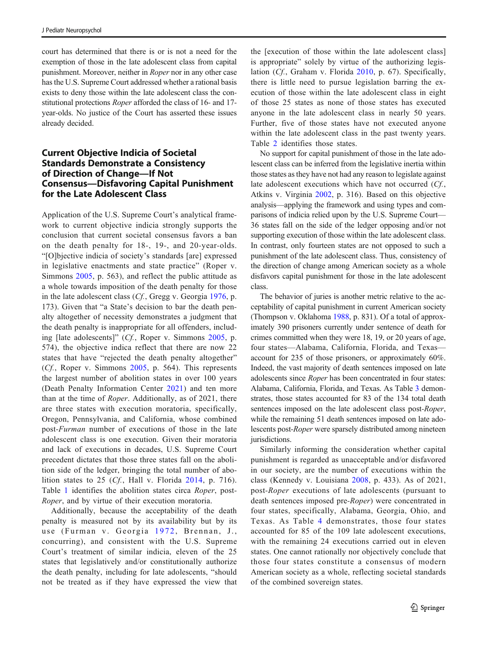court has determined that there is or is not a need for the exemption of those in the late adolescent class from capital punishment. Moreover, neither in Roper nor in any other case has the U.S. Supreme Court addressed whether a rational basis exists to deny those within the late adolescent class the constitutional protections Roper afforded the class of 16- and 17 year-olds. No justice of the Court has asserted these issues already decided.

#### Current Objective Indicia of Societal Standards Demonstrate a Consistency of Direction of Change—If Not Consensus—Disfavoring Capital Punishment for the Late Adolescent Class

Application of the U.S. Supreme Court's analytical framework to current objective indicia strongly supports the conclusion that current societal consensus favors a ban on the death penalty for 18-, 19-, and 20-year-olds. "[O]bjective indicia of society's standards [are] expressed in legislative enactments and state practice" (Roper v. Simmons [2005,](#page-17-0) p. 563), and reflect the public attitude as a whole towards imposition of the death penalty for those in the late adolescent class (Cf., Gregg v. Georgia [1976](#page-16-0), p. 173). Given that "a State's decision to bar the death penalty altogether of necessity demonstrates a judgment that the death penalty is inappropriate for all offenders, including [late adolescents]" (Cf., Roper v. Simmons [2005,](#page-17-0) p. 574), the objective indica reflect that there are now 22 states that have "rejected the death penalty altogether"  $(Cf, Roper v. Simmons 2005, p. 564)$  $(Cf, Roper v. Simmons 2005, p. 564)$  $(Cf, Roper v. Simmons 2005, p. 564)$ . This represents the largest number of abolition states in over 100 years (Death Penalty Information Center [2021](#page-16-0)) and ten more than at the time of Roper. Additionally, as of 2021, there are three states with execution moratoria, specifically, Oregon, Pennsylvania, and California, whose combined post-Furman number of executions of those in the late adolescent class is one execution. Given their moratoria and lack of executions in decades, U.S. Supreme Court precedent dictates that those three states fall on the abolition side of the ledger, bringing the total number of abolition states to 25 (Cf., Hall v. Florida [2014,](#page-16-0) p. 716). Table [1](#page-9-0) identifies the abolition states circa Roper, post-Roper, and by virtue of their execution moratoria.

Additionally, because the acceptability of the death penalty is measured not by its availability but by its use (Furman v. Georgia [1972](#page-16-0), Brennan, J., concurring), and consistent with the U.S. Supreme Court's treatment of similar indicia, eleven of the 25 states that legislatively and/or constitutionally authorize the death penalty, including for late adolescents, "should not be treated as if they have expressed the view that

the [execution of those within the late adolescent class] is appropriate" solely by virtue of the authorizing legislation (Cf., Graham v. Florida [2010,](#page-16-0) p. 67). Specifically, there is little need to pursue legislation barring the execution of those within the late adolescent class in eight of those 25 states as none of those states has executed anyone in the late adolescent class in nearly 50 years. Further, five of those states have not executed anyone within the late adolescent class in the past twenty years. Table [2](#page-9-0) identifies those states.

No support for capital punishment of those in the late adolescent class can be inferred from the legislative inertia within those states as they have not had any reason to legislate against late adolescent executions which have not occurred (Cf., Atkins v. Virginia [2002](#page-16-0), p. 316). Based on this objective analysis—applying the framework and using types and comparisons of indicia relied upon by the U.S. Supreme Court— 36 states fall on the side of the ledger opposing and/or not supporting execution of those within the late adolescent class. In contrast, only fourteen states are not opposed to such a punishment of the late adolescent class. Thus, consistency of the direction of change among American society as a whole disfavors capital punishment for those in the late adolescent class.

The behavior of juries is another metric relative to the acceptability of capital punishment in current American society (Thompson v. Oklahoma [1988](#page-17-0), p. 831). Of a total of approximately 390 prisoners currently under sentence of death for crimes committed when they were 18, 19, or 20 years of age, four states—Alabama, California, Florida, and Texas account for 235 of those prisoners, or approximately 60%. Indeed, the vast majority of death sentences imposed on late adolescents since Roper has been concentrated in four states: Alabama, California, Florida, and Texas. As Table [3](#page-10-0) demonstrates, those states accounted for 83 of the 134 total death sentences imposed on the late adolescent class post-Roper, while the remaining 51 death sentences imposed on late adolescents post-Roper were sparsely distributed among nineteen jurisdictions.

Similarly informing the consideration whether capital punishment is regarded as unacceptable and/or disfavored in our society, are the number of executions within the class (Kennedy v. Louisiana [2008](#page-16-0), p. 433). As of 2021, post-Roper executions of late adolescents (pursuant to death sentences imposed pre-Roper) were concentrated in four states, specifically, Alabama, Georgia, Ohio, and Texas. As Table [4](#page-10-0) demonstrates, those four states accounted for 85 of the 109 late adolescent executions, with the remaining 24 executions carried out in eleven states. One cannot rationally nor objectively conclude that those four states constitute a consensus of modern American society as a whole, reflecting societal standards of the combined sovereign states.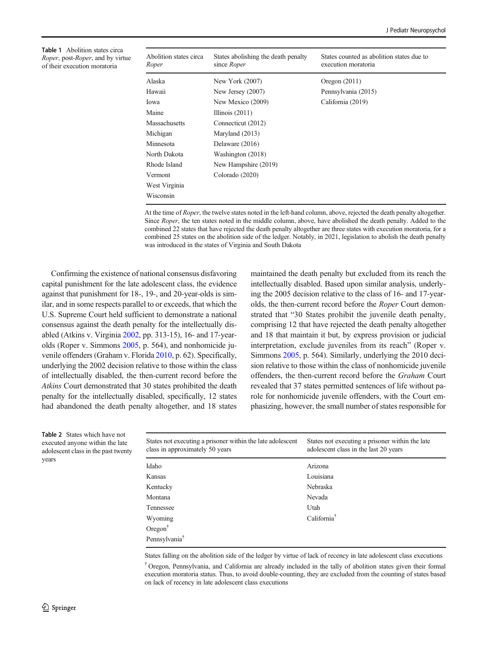<span id="page-9-0"></span>Table 1 Abolition states circa Roper, post-Roper, and by virtue of their execution moratoria

| Abolition states circa<br>Roper | States abolishing the death penalty<br>since Roper | States counted as abolition states due to<br>execution moratoria |
|---------------------------------|----------------------------------------------------|------------------------------------------------------------------|
| Alaska                          | New York (2007)                                    | Oregon $(2011)$                                                  |
| Hawaii                          | New Jersey $(2007)$                                | Pennsylvania (2015)                                              |
| Iowa                            | New Mexico (2009)                                  | California (2019)                                                |
| Maine                           | Illinois $(2011)$                                  |                                                                  |
| Massachusetts                   | Connecticut (2012)                                 |                                                                  |
| Michigan                        | Maryland (2013)                                    |                                                                  |
| Minnesota                       | Delaware (2016)                                    |                                                                  |
| North Dakota                    | Washington (2018)                                  |                                                                  |
| Rhode Island                    | New Hampshire (2019)                               |                                                                  |
| Vermont                         | Colorado (2020)                                    |                                                                  |
| West Virginia                   |                                                    |                                                                  |
| Wisconsin                       |                                                    |                                                                  |

At the time of Roper, the twelve states noted in the left-hand column, above, rejected the death penalty altogether. Since Roper, the ten states noted in the middle column, above, have abolished the death penalty. Added to the combined 22 states that have rejected the death penalty altogether are three states with execution moratoria, for a combined 25 states on the abolition side of the ledger. Notably, in 2021, legislation to abolish the death penalty was introduced in the states of Virginia and South Dakota

Confirming the existence of national consensus disfavoring capital punishment for the late adolescent class, the evidence against that punishment for 18-, 19-, and 20-year-olds is similar, and in some respects parallel to or exceeds, that which the U.S. Supreme Court held sufficient to demonstrate a national consensus against the death penalty for the intellectually disabled (Atkins v. Virginia [2002,](#page-16-0) pp. 313-15), 16- and 17-yearolds (Roper v. Simmons [2005](#page-17-0), p. 564), and nonhomicide juvenile offenders (Graham v. Florida [2010,](#page-16-0) p. 62). Specifically, underlying the 2002 decision relative to those within the class of intellectually disabled, the then-current record before the Atkins Court demonstrated that 30 states prohibited the death penalty for the intellectually disabled, specifically, 12 states had abandoned the death penalty altogether, and 18 states maintained the death penalty but excluded from its reach the intellectually disabled. Based upon similar analysis, underlying the 2005 decision relative to the class of 16- and 17-yearolds, the then-current record before the Roper Court demonstrated that "30 States prohibit the juvenile death penalty, comprising 12 that have rejected the death penalty altogether and 18 that maintain it but, by express provision or judicial interpretation, exclude juveniles from its reach" (Roper v. Simmons [2005](#page-17-0), p. 564). Similarly, underlying the 2010 decision relative to those within the class of nonhomicide juvenile offenders, the then-current record before the Graham Court revealed that 37 states permitted sentences of life without parole for nonhomicide juvenile offenders, with the Court emphasizing, however, the small number of states responsible for

Table 2 States which have not executed anyone within the late adolescent class in the past twenty years

| States not executing a prisoner within the late adolescent<br>class in approximately 50 years | States not executing a prisoner within the late<br>adolescent class in the last 20 years |
|-----------------------------------------------------------------------------------------------|------------------------------------------------------------------------------------------|
| Idaho                                                                                         | Arizona                                                                                  |
| Kansas                                                                                        | Louisiana                                                                                |
| Kentucky                                                                                      | <b>Nebraska</b>                                                                          |
| Montana                                                                                       | Nevada                                                                                   |
| Tennessee                                                                                     | Utah                                                                                     |
| Wyoming                                                                                       | California <sup>†</sup>                                                                  |
| Oregon <sup><math>\dagger</math></sup>                                                        |                                                                                          |
| Pennsylvania <sup>†</sup>                                                                     |                                                                                          |

States falling on the abolition side of the ledger by virtue of lack of recency in late adolescent class executions

† Oregon, Pennsylvania, and California are already included in the tally of abolition states given their formal execution moratoria status. Thus, to avoid double-counting, they are excluded from the counting of states based on lack of recency in late adolescent class executions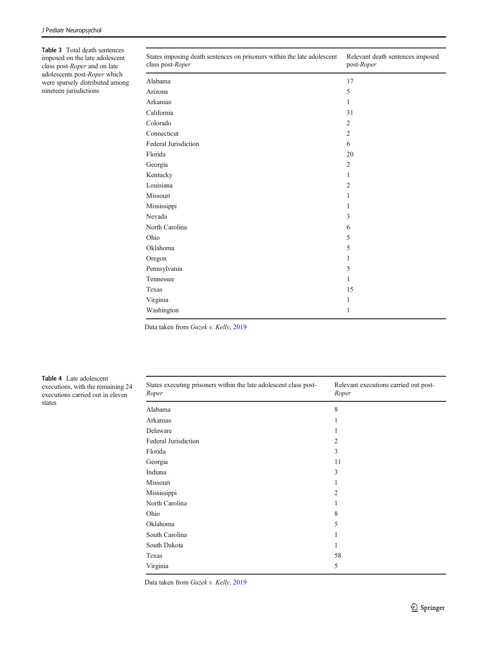<span id="page-10-0"></span>Table 3 Total death sentences imposed on the late adolescent class post-Roper and on late adolescents post-Roper which were sparsely distributed among nineteen jurisdictions

| States imposing death sentences on prisoners within the late adolescent<br>class post-Roper | Relevant death sentences imposed<br>post-Roper |
|---------------------------------------------------------------------------------------------|------------------------------------------------|
| Alabama                                                                                     | 17                                             |
| Arizona                                                                                     | 5                                              |
| Arkansas                                                                                    | 1                                              |
| California                                                                                  | 31                                             |
| Colorado                                                                                    | $\overline{2}$                                 |
| Connecticut                                                                                 | $\mathfrak{2}$                                 |
| Federal Jurisdiction                                                                        | 6                                              |
| Florida                                                                                     | 20                                             |
| Georgia                                                                                     | $\overline{2}$                                 |
| Kentucky                                                                                    | 1                                              |
| Louisiana                                                                                   | $\overline{2}$                                 |
| Missouri                                                                                    | 1                                              |
| Mississippi                                                                                 | 1                                              |
| Nevada                                                                                      | 3                                              |
| North Carolina                                                                              | 6                                              |
| Ohio                                                                                        | 5                                              |
| Oklahoma                                                                                    | 5                                              |
| Oregon                                                                                      | 1                                              |
| Pennsylvania                                                                                | 5                                              |
| Tennessee                                                                                   | 1                                              |
| Texas                                                                                       | 15                                             |
| Virginia                                                                                    | 1                                              |
| Washington                                                                                  | 1                                              |

Data taken from Guzek v. Kelly, [2019](#page-16-0)

Table 4 Late adolescent executions, with the remaining 24 executions carried out in eleven states

| States executing prisoners within the late adolescent class post-<br>Roper | Relevant executions carried out post-<br>Roper |
|----------------------------------------------------------------------------|------------------------------------------------|
| Alabama                                                                    | 8                                              |
| Arkansas                                                                   |                                                |
| Delaware                                                                   | 1                                              |
| Federal Jurisdiction                                                       | 2                                              |
| Florida                                                                    | 3                                              |
| Georgia                                                                    | 11                                             |
| Indiana                                                                    | 3                                              |
| Missouri                                                                   |                                                |
| Mississippi                                                                | $\overline{2}$                                 |
| North Carolina                                                             |                                                |
| Ohio                                                                       | 8                                              |
| Oklahoma                                                                   | 5                                              |
| South Carolina                                                             |                                                |
| South Dakota                                                               | 1                                              |
| Texas                                                                      | 58                                             |
| Virginia                                                                   | 5                                              |

Data taken from Guzek v. Kelly, [2019](#page-16-0)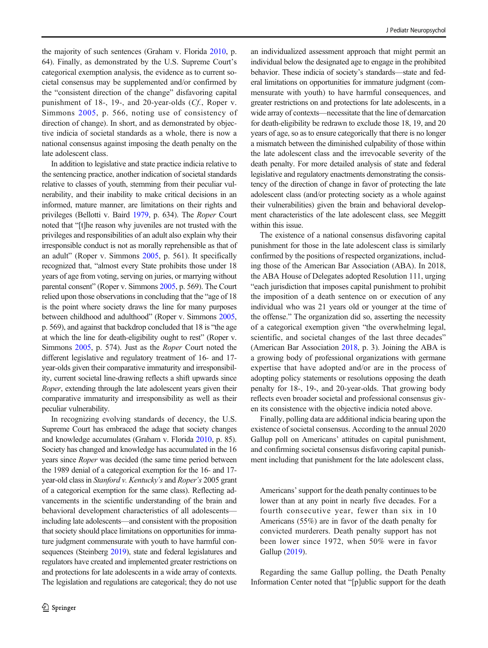the majority of such sentences (Graham v. Florida [2010,](#page-16-0) p. 64). Finally, as demonstrated by the U.S. Supreme Court's categorical exemption analysis, the evidence as to current societal consensus may be supplemented and/or confirmed by the "consistent direction of the change" disfavoring capital punishment of 18-, 19-, and 20-year-olds (Cf., Roper v. Simmons [2005,](#page-17-0) p. 566, noting use of consistency of direction of change). In short, and as demonstrated by objective indicia of societal standards as a whole, there is now a national consensus against imposing the death penalty on the late adolescent class.

In addition to legislative and state practice indicia relative to the sentencing practice, another indication of societal standards relative to classes of youth, stemming from their peculiar vulnerability, and their inability to make critical decisions in an informed, mature manner, are limitations on their rights and privileges (Bellotti v. Baird [1979](#page-16-0), p. 634). The Roper Court noted that "[t]he reason why juveniles are not trusted with the privileges and responsibilities of an adult also explain why their irresponsible conduct is not as morally reprehensible as that of an adult" (Roper v. Simmons [2005,](#page-17-0) p. 561). It specifically recognized that, "almost every State prohibits those under 18 years of age from voting, serving on juries, or marrying without parental consent" (Roper v. Simmons [2005](#page-17-0), p. 569). The Court relied upon those observations in concluding that the "age of 18 is the point where society draws the line for many purposes between childhood and adulthood" (Roper v. Simmons [2005,](#page-17-0) p. 569), and against that backdrop concluded that 18 is "the age at which the line for death-eligibility ought to rest" (Roper v. Simmons [2005](#page-17-0), p. 574). Just as the Roper Court noted the different legislative and regulatory treatment of 16- and 17 year-olds given their comparative immaturity and irresponsibility, current societal line-drawing reflects a shift upwards since Roper, extending through the late adolescent years given their comparative immaturity and irresponsibility as well as their peculiar vulnerability.

In recognizing evolving standards of decency, the U.S. Supreme Court has embraced the adage that society changes and knowledge accumulates (Graham v. Florida [2010,](#page-16-0) p. 85). Society has changed and knowledge has accumulated in the 16 years since Roper was decided (the same time period between the 1989 denial of a categorical exemption for the 16- and 17 year-old class in Stanford v. Kentucky's and Roper's 2005 grant of a categorical exemption for the same class). Reflecting advancements in the scientific understanding of the brain and behavioral development characteristics of all adolescents including late adolescents—and consistent with the proposition that society should place limitations on opportunities for immature judgment commensurate with youth to have harmful con-sequences (Steinberg [2019](#page-17-0)), state and federal legislatures and regulators have created and implemented greater restrictions on and protections for late adolescents in a wide array of contexts. The legislation and regulations are categorical; they do not use

an individualized assessment approach that might permit an individual below the designated age to engage in the prohibited behavior. These indicia of society's standards—state and federal limitations on opportunities for immature judgment (commensurate with youth) to have harmful consequences, and greater restrictions on and protections for late adolescents, in a wide array of contexts—necessitate that the line of demarcation for death-eligibility be redrawn to exclude those 18, 19, and 20 years of age, so as to ensure categorically that there is no longer a mismatch between the diminished culpability of those within the late adolescent class and the irrevocable severity of the death penalty. For more detailed analysis of state and federal legislative and regulatory enactments demonstrating the consistency of the direction of change in favor of protecting the late adolescent class (and/or protecting society as a whole against their vulnerabilities) given the brain and behavioral development characteristics of the late adolescent class, see Meggitt within this issue.

The existence of a national consensus disfavoring capital punishment for those in the late adolescent class is similarly confirmed by the positions of respected organizations, including those of the American Bar Association (ABA). In 2018, the ABA House of Delegates adopted Resolution 111, urging "each jurisdiction that imposes capital punishment to prohibit the imposition of a death sentence on or execution of any individual who was 21 years old or younger at the time of the offense." The organization did so, asserting the necessity of a categorical exemption given "the overwhelming legal, scientific, and societal changes of the last three decades" (American Bar Association [2018,](#page-16-0) p. 3). Joining the ABA is a growing body of professional organizations with germane expertise that have adopted and/or are in the process of adopting policy statements or resolutions opposing the death penalty for 18-, 19-, and 20-year-olds. That growing body reflects even broader societal and professional consensus given its consistence with the objective indicia noted above.

Finally, polling data are additional indicia bearing upon the existence of societal consensus. According to the annual 2020 Gallup poll on Americans' attitudes on capital punishment, and confirming societal consensus disfavoring capital punishment including that punishment for the late adolescent class,

Americans'support for the death penalty continues to be lower than at any point in nearly five decades. For a fourth consecutive year, fewer than six in 10 Americans (55%) are in favor of the death penalty for convicted murderers. Death penalty support has not been lower since 1972, when 50% were in favor Gallup ([2019](#page-16-0)).

Regarding the same Gallup polling, the Death Penalty Information Center noted that "[p]ublic support for the death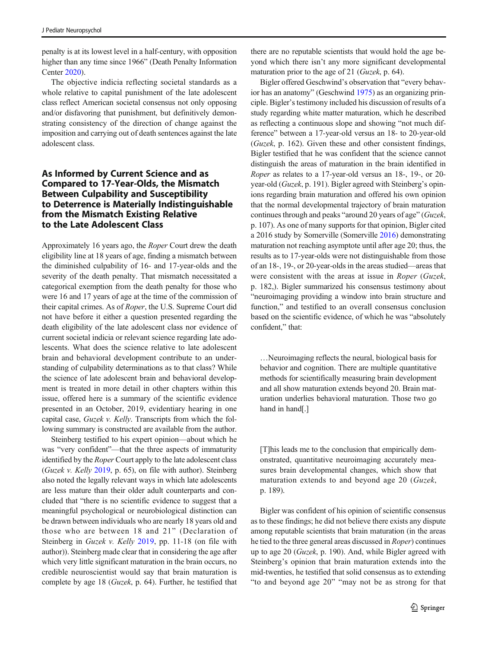penalty is at its lowest level in a half-century, with opposition higher than any time since 1966" (Death Penalty Information Center [2020\)](#page-16-0).

The objective indicia reflecting societal standards as a whole relative to capital punishment of the late adolescent class reflect American societal consensus not only opposing and/or disfavoring that punishment, but definitively demonstrating consistency of the direction of change against the imposition and carrying out of death sentences against the late adolescent class.

## As Informed by Current Science and as Compared to 17-Year-Olds, the Mismatch Between Culpability and Susceptibility to Deterrence is Materially Indistinguishable from the Mismatch Existing Relative to the Late Adolescent Class

Approximately 16 years ago, the Roper Court drew the death eligibility line at 18 years of age, finding a mismatch between the diminished culpability of 16- and 17-year-olds and the severity of the death penalty. That mismatch necessitated a categorical exemption from the death penalty for those who were 16 and 17 years of age at the time of the commission of their capital crimes. As of Roper, the U.S. Supreme Court did not have before it either a question presented regarding the death eligibility of the late adolescent class nor evidence of current societal indicia or relevant science regarding late adolescents. What does the science relative to late adolescent brain and behavioral development contribute to an understanding of culpability determinations as to that class? While the science of late adolescent brain and behavioral development is treated in more detail in other chapters within this issue, offered here is a summary of the scientific evidence presented in an October, 2019, evidentiary hearing in one capital case, Guzek v. Kelly. Transcripts from which the following summary is constructed are available from the author.

Steinberg testified to his expert opinion—about which he was "very confident"—that the three aspects of immaturity identified by the *Roper* Court apply to the late adolescent class (Guzek v. Kelly [2019,](#page-16-0) p. 65), on file with author). Steinberg also noted the legally relevant ways in which late adolescents are less mature than their older adult counterparts and concluded that "there is no scientific evidence to suggest that a meaningful psychological or neurobiological distinction can be drawn between individuals who are nearly 18 years old and those who are between 18 and 21" (Declaration of Steinberg in *Guzek v. Kelly* [2019](#page-16-0), pp. 11-18 (on file with author)). Steinberg made clear that in considering the age after which very little significant maturation in the brain occurs, no credible neuroscientist would say that brain maturation is complete by age 18 (Guzek, p. 64). Further, he testified that

there are no reputable scientists that would hold the age beyond which there isn't any more significant developmental maturation prior to the age of 21 (Guzek, p. 64).

Bigler offered Geschwind's observation that "every behavior has an anatomy" (Geschwind [1975\)](#page-16-0) as an organizing principle. Bigler's testimony included his discussion of results of a study regarding white matter maturation, which he described as reflecting a continuous slope and showing "not much difference" between a 17-year-old versus an 18- to 20-year-old (Guzek, p. 162). Given these and other consistent findings, Bigler testified that he was confident that the science cannot distinguish the areas of maturation in the brain identified in Roper as relates to a 17-year-old versus an 18-, 19-, or 20 year-old (Guzek, p. 191). Bigler agreed with Steinberg's opinions regarding brain maturation and offered his own opinion that the normal developmental trajectory of brain maturation continues through and peaks "around 20 years of age" (Guzek, p. 107). As one of many supports for that opinion, Bigler cited a 2016 study by Somerville (Somerville [2016](#page-17-0)) demonstrating maturation not reaching asymptote until after age 20; thus, the results as to 17-year-olds were not distinguishable from those of an 18-, 19-, or 20-year-olds in the areas studied—areas that were consistent with the areas at issue in Roper (Guzek, p. 182,). Bigler summarized his consensus testimony about "neuroimaging providing a window into brain structure and function," and testified to an overall consensus conclusion based on the scientific evidence, of which he was "absolutely confident," that:

…Neuroimaging reflects the neural, biological basis for behavior and cognition. There are multiple quantitative methods for scientifically measuring brain development and all show maturation extends beyond 20. Brain maturation underlies behavioral maturation. Those two go hand in hand[.]

[T]his leads me to the conclusion that empirically demonstrated, quantitative neuroimaging accurately measures brain developmental changes, which show that maturation extends to and beyond age 20 (Guzek, p. 189).

Bigler was confident of his opinion of scientific consensus as to these findings; he did not believe there exists any dispute among reputable scientists that brain maturation (in the areas he tied to the three general areas discussed in Roper) continues up to age 20 (Guzek, p. 190). And, while Bigler agreed with Steinberg's opinion that brain maturation extends into the mid-twenties, he testified that solid consensus as to extending "to and beyond age 20" "may not be as strong for that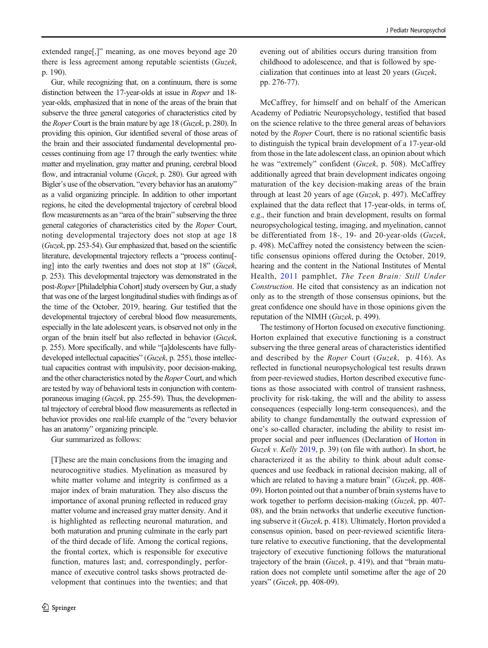extended range[,]" meaning, as one moves beyond age 20 there is less agreement among reputable scientists (Guzek, p. 190).

Gur, while recognizing that, on a continuum, there is some distinction between the 17-year-olds at issue in Roper and 18 year-olds, emphasized that in none of the areas of the brain that subserve the three general categories of characteristics cited by the *Roper* Court is the brain mature by age 18 (*Guzek*, p. 280). In providing this opinion, Gur identified several of those areas of the brain and their associated fundamental developmental processes continuing from age 17 through the early twenties: white matter and myelination, gray matter and pruning, cerebral blood flow, and intracranial volume (Guzek, p. 280). Gur agreed with Bigler's use of the observation, "every behavior has an anatomy" as a valid organizing principle. In addition to other important regions, he cited the developmental trajectory of cerebral blood flow measurements as an "area of the brain" subserving the three general categories of characteristics cited by the Roper Court, noting developmental trajectory does not stop at age 18 (Guzek, pp. 253-54). Gur emphasized that, based on the scientific literature, developmental trajectory reflects a "process continu[ ing] into the early twenties and does not stop at 18" (Guzek, p. 253). This developmental trajectory was demonstrated in the post-Roper[Philadelphia Cohort] study overseen by Gur, a study that was one of the largest longitudinal studies with findings as of the time of the October, 2019, hearing. Gur testified that the developmental trajectory of cerebral blood flow measurements, especially in the late adolescent years, is observed not only in the organ of the brain itself but also reflected in behavior (Guzek, p. 255). More specifically, and while "[a]dolescents have fullydeveloped intellectual capacities" (Guzek, p. 255), those intellectual capacities contrast with impulsivity, poor decision-making, and the other characteristics noted by the *Roper* Court, and which are tested by way of behavioral tests in conjunction with contemporaneous imaging (Guzek, pp. 255-59). Thus, the developmental trajectory of cerebral blood flow measurements as reflected in behavior provides one real-life example of the "every behavior has an anatomy" organizing principle.

Gur summarized as follows:

[T]hese are the main conclusions from the imaging and neurocognitive studies. Myelination as measured by white matter volume and integrity is confirmed as a major index of brain maturation. They also discuss the importance of axonal pruning reflected in reduced gray matter volume and increased gray matter density. And it is highlighted as reflecting neuronal maturation, and both maturation and pruning culminate in the early part of the third decade of life. Among the cortical regions, the frontal cortex, which is responsible for executive function, matures last; and, correspondingly, performance of executive control tasks shows protracted development that continues into the twenties; and that

evening out of abilities occurs during transition from childhood to adolescence, and that is followed by specialization that continues into at least 20 years (Guzek, pp. 276-77).

McCaffrey, for himself and on behalf of the American Academy of Pediatric Neuropsychology, testified that based on the science relative to the three general areas of behaviors noted by the Roper Court, there is no rational scientific basis to distinguish the typical brain development of a 17-year-old from those in the late adolescent class, an opinion about which he was "extremely" confident (Guzek, p. 508). McCaffrey additionally agreed that brain development indicates ongoing maturation of the key decision-making areas of the brain through at least 20 years of age (Guzek, p. 497). McCaffrey explained that the data reflect that 17-year-olds, in terms of, e.g., their function and brain development, results on formal neuropsychological testing, imaging, and myelination, cannot be differentiated from 18-, 19- and 20-year-olds (Guzek, p. 498). McCaffrey noted the consistency between the scientific consensus opinions offered during the October, 2019, hearing and the content in the National Institutes of Mental Health, [2011](#page-17-0) pamphlet, The Teen Brain: Still Under Construction. He cited that consistency as an indication not only as to the strength of those consensus opinions, but the great confidence one should have in those opinions given the reputation of the NIMH (Guzek, p. 499).

The testimony of Horton focused on executive functioning. Horton explained that executive functioning is a construct subserving the three general areas of characteristics identified and described by the Roper Court (Guzek, p. 416). As reflected in functional neuropsychological test results drawn from peer-reviewed studies, Horton described executive functions as those associated with control of transient rashness, proclivity for risk-taking, the will and the ability to assess consequences (especially long-term consequences), and the ability to change fundamentally the outward expression of one's so-called character, including the ability to resist improper social and peer influences (Declaration of [Horton](#page-16-0) in Guzek v. Kelly [2019](#page-16-0), p. 39) (on file with author). In short, he characterized it as the ability to think about adult consequences and use feedback in rational decision making, all of which are related to having a mature brain" (Guzek, pp. 408-09). Horton pointed out that a number of brain systems have to work together to perform decision-making (Guzek, pp. 407- 08), and the brain networks that underlie executive functioning subserve it (Guzek, p. 418). Ultimately, Horton provided a consensus opinion, based on peer-reviewed scientific literature relative to executive functioning, that the developmental trajectory of executive functioning follows the maturational trajectory of the brain (Guzek, p. 419), and that "brain maturation does not complete until sometime after the age of 20 years" (Guzek, pp. 408-09).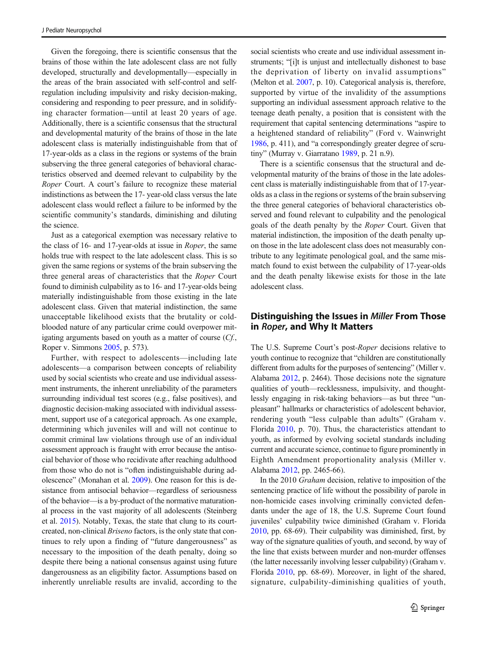Given the foregoing, there is scientific consensus that the brains of those within the late adolescent class are not fully developed, structurally and developmentally—especially in the areas of the brain associated with self-control and selfregulation including impulsivity and risky decision-making, considering and responding to peer pressure, and in solidifying character formation—until at least 20 years of age. Additionally, there is a scientific consensus that the structural and developmental maturity of the brains of those in the late adolescent class is materially indistinguishable from that of 17-year-olds as a class in the regions or systems of the brain subserving the three general categories of behavioral characteristics observed and deemed relevant to culpability by the Roper Court. A court's failure to recognize these material indistinctions as between the 17- year-old class versus the late adolescent class would reflect a failure to be informed by the scientific community's standards, diminishing and diluting the science.

Just as a categorical exemption was necessary relative to the class of 16- and 17-year-olds at issue in Roper, the same holds true with respect to the late adolescent class. This is so given the same regions or systems of the brain subserving the three general areas of characteristics that the Roper Court found to diminish culpability as to 16- and 17-year-olds being materially indistinguishable from those existing in the late adolescent class. Given that material indistinction, the same unacceptable likelihood exists that the brutality or coldblooded nature of any particular crime could overpower mitigating arguments based on youth as a matter of course (Cf., Roper v. Simmons [2005](#page-17-0), p. 573).

Further, with respect to adolescents—including late adolescents—a comparison between concepts of reliability used by social scientists who create and use individual assessment instruments, the inherent unreliability of the parameters surrounding individual test scores (e.g., false positives), and diagnostic decision-making associated with individual assessment, support use of a categorical approach. As one example, determining which juveniles will and will not continue to commit criminal law violations through use of an individual assessment approach is fraught with error because the antisocial behavior of those who recidivate after reaching adulthood from those who do not is "often indistinguishable during adolescence" (Monahan et al. [2009](#page-17-0)). One reason for this is desistance from antisocial behavior—regardless of seriousness of the behavior—is a by-product of the normative maturational process in the vast majority of all adolescents (Steinberg et al. [2015\)](#page-17-0). Notably, Texas, the state that clung to its courtcreated, non-clinical Briseno factors, is the only state that continues to rely upon a finding of "future dangerousness" as necessary to the imposition of the death penalty, doing so despite there being a national consensus against using future dangerousness as an eligibility factor. Assumptions based on inherently unreliable results are invalid, according to the social scientists who create and use individual assessment instruments; "[i]t is unjust and intellectually dishonest to base the deprivation of liberty on invalid assumptions" (Melton et al. [2007](#page-16-0), p. 10). Categorical analysis is, therefore, supported by virtue of the invalidity of the assumptions supporting an individual assessment approach relative to the teenage death penalty, a position that is consistent with the requirement that capital sentencing determinations "aspire to a heightened standard of reliability" (Ford v. Wainwright [1986,](#page-16-0) p. 411), and "a correspondingly greater degree of scrutiny" (Murray v. Giarratano [1989](#page-17-0), p. 21 n.9).

There is a scientific consensus that the structural and developmental maturity of the brains of those in the late adolescent class is materially indistinguishable from that of 17-yearolds as a class in the regions or systems of the brain subserving the three general categories of behavioral characteristics observed and found relevant to culpability and the penological goals of the death penalty by the Roper Court. Given that material indistinction, the imposition of the death penalty upon those in the late adolescent class does not measurably contribute to any legitimate penological goal, and the same mismatch found to exist between the culpability of 17-year-olds and the death penalty likewise exists for those in the late adolescent class.

#### Distinguishing the Issues in Miller From Those in Roper, and Why It Matters

The U.S. Supreme Court's post-Roper decisions relative to youth continue to recognize that "children are constitutionally different from adults for the purposes of sentencing" (Miller v. Alabama [2012,](#page-16-0) p. 2464). Those decisions note the signature qualities of youth—recklessness, impulsivity, and thoughtlessly engaging in risk-taking behaviors—as but three "unpleasant" hallmarks or characteristics of adolescent behavior, rendering youth "less culpable than adults" (Graham v. Florida [2010](#page-16-0), p. 70). Thus, the characteristics attendant to youth, as informed by evolving societal standards including current and accurate science, continue to figure prominently in Eighth Amendment proportionality analysis (Miller v. Alabama [2012](#page-16-0), pp. 2465-66).

In the 2010 Graham decision, relative to imposition of the sentencing practice of life without the possibility of parole in non-homicide cases involving criminally convicted defendants under the age of 18, the U.S. Supreme Court found juveniles' culpability twice diminished (Graham v. Florida [2010,](#page-16-0) pp. 68-69). Their culpability was diminished, first, by way of the signature qualities of youth, and second, by way of the line that exists between murder and non-murder offenses (the latter necessarily involving lesser culpability) (Graham v. Florida [2010,](#page-16-0) pp. 68-69). Moreover, in light of the shared, signature, culpability-diminishing qualities of youth,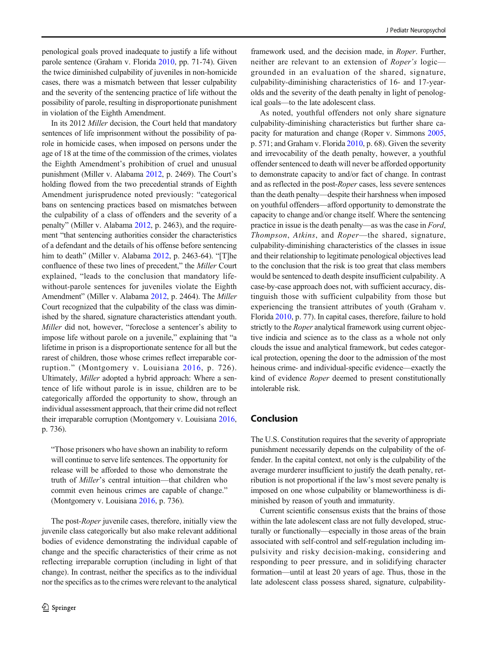penological goals proved inadequate to justify a life without parole sentence (Graham v. Florida [2010](#page-16-0), pp. 71-74). Given the twice diminished culpability of juveniles in non-homicide cases, there was a mismatch between that lesser culpability and the severity of the sentencing practice of life without the possibility of parole, resulting in disproportionate punishment in violation of the Eighth Amendment.

In its 2012 Miller decision, the Court held that mandatory sentences of life imprisonment without the possibility of parole in homicide cases, when imposed on persons under the age of 18 at the time of the commission of the crimes, violates the Eighth Amendment's prohibition of cruel and unusual punishment (Miller v. Alabama [2012,](#page-16-0) p. 2469). The Court's holding flowed from the two precedential strands of Eighth Amendment jurisprudence noted previously: "categorical bans on sentencing practices based on mismatches between the culpability of a class of offenders and the severity of a penalty" (Miller v. Alabama [2012,](#page-16-0) p. 2463), and the requirement "that sentencing authorities consider the characteristics of a defendant and the details of his offense before sentencing him to death" (Miller v. Alabama [2012](#page-16-0), p. 2463-64). "[T]he confluence of these two lines of precedent," the Miller Court explained, "leads to the conclusion that mandatory lifewithout-parole sentences for juveniles violate the Eighth Amendment" (Miller v. Alabama [2012,](#page-16-0) p. 2464). The Miller Court recognized that the culpability of the class was diminished by the shared, signature characteristics attendant youth. Miller did not, however, "foreclose a sentencer's ability to impose life without parole on a juvenile," explaining that "a lifetime in prison is a disproportionate sentence for all but the rarest of children, those whose crimes reflect irreparable corruption." (Montgomery v. Louisiana [2016,](#page-17-0) p. 726). Ultimately, Miller adopted a hybrid approach: Where a sentence of life without parole is in issue, children are to be categorically afforded the opportunity to show, through an individual assessment approach, that their crime did not reflect their irreparable corruption (Montgomery v. Louisiana [2016,](#page-17-0) p. 736).

"Those prisoners who have shown an inability to reform will continue to serve life sentences. The opportunity for release will be afforded to those who demonstrate the truth of Miller's central intuition—that children who commit even heinous crimes are capable of change." (Montgomery v. Louisiana [2016](#page-17-0), p. 736).

The post-Roper juvenile cases, therefore, initially view the juvenile class categorically but also make relevant additional bodies of evidence demonstrating the individual capable of change and the specific characteristics of their crime as not reflecting irreparable corruption (including in light of that change). In contrast, neither the specifics as to the individual nor the specifics as to the crimes were relevant to the analytical

framework used, and the decision made, in *Roper*. Further, neither are relevant to an extension of Roper's logic grounded in an evaluation of the shared, signature, culpability-diminishing characteristics of 16- and 17-yearolds and the severity of the death penalty in light of penological goals—to the late adolescent class.

As noted, youthful offenders not only share signature culpability-diminishing characteristics but further share capacity for maturation and change (Roper v. Simmons [2005,](#page-17-0) p. 571; and Graham v. Florida [2010,](#page-16-0) p. 68). Given the severity and irrevocability of the death penalty, however, a youthful offender sentenced to death will never be afforded opportunity to demonstrate capacity to and/or fact of change. In contrast and as reflected in the post-Roper cases, less severe sentences than the death penalty—despite their harshness when imposed on youthful offenders—afford opportunity to demonstrate the capacity to change and/or change itself. Where the sentencing practice in issue is the death penalty—as was the case in Ford, Thompson, Atkins, and Roper—the shared, signature, culpability-diminishing characteristics of the classes in issue and their relationship to legitimate penological objectives lead to the conclusion that the risk is too great that class members would be sentenced to death despite insufficient culpability. A case-by-case approach does not, with sufficient accuracy, distinguish those with sufficient culpability from those but experiencing the transient attributes of youth (Graham v. Florida [2010,](#page-16-0) p. 77). In capital cases, therefore, failure to hold strictly to the Roper analytical framework using current objective indicia and science as to the class as a whole not only clouds the issue and analytical framework, but cedes categorical protection, opening the door to the admission of the most heinous crime- and individual-specific evidence—exactly the kind of evidence Roper deemed to present constitutionally intolerable risk.

#### Conclusion

The U.S. Constitution requires that the severity of appropriate punishment necessarily depends on the culpability of the offender. In the capital context, not only is the culpability of the average murderer insufficient to justify the death penalty, retribution is not proportional if the law's most severe penalty is imposed on one whose culpability or blameworthiness is diminished by reason of youth and immaturity.

Current scientific consensus exists that the brains of those within the late adolescent class are not fully developed, structurally or functionally—especially in those areas of the brain associated with self-control and self-regulation including impulsivity and risky decision-making, considering and responding to peer pressure, and in solidifying character formation—until at least 20 years of age. Thus, those in the late adolescent class possess shared, signature, culpability-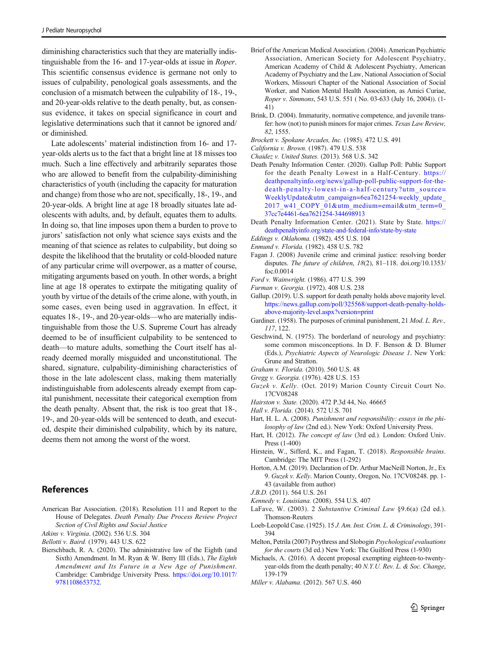<span id="page-16-0"></span>diminishing characteristics such that they are materially indistinguishable from the 16- and 17-year-olds at issue in Roper. This scientific consensus evidence is germane not only to issues of culpability, penological goals assessments, and the conclusion of a mismatch between the culpability of 18-, 19-, and 20-year-olds relative to the death penalty, but, as consensus evidence, it takes on special significance in court and legislative determinations such that it cannot be ignored and/ or diminished.

Late adolescents' material indistinction from 16- and 17 year-olds alerts us to the fact that a bright line at 18 misses too much. Such a line effectively and arbitrarily separates those who are allowed to benefit from the culpability-diminishing characteristics of youth (including the capacity for maturation and change) from those who are not, specifically, 18-, 19-, and 20-year-olds. A bright line at age 18 broadly situates late adolescents with adults, and, by default, equates them to adults. In doing so, that line imposes upon them a burden to prove to jurors' satisfaction not only what science says exists and the meaning of that science as relates to culpability, but doing so despite the likelihood that the brutality or cold-blooded nature of any particular crime will overpower, as a matter of course, mitigating arguments based on youth. In other words, a bright line at age 18 operates to extirpate the mitigating quality of youth by virtue of the details of the crime alone, with youth, in some cases, even being used in aggravation. In effect, it equates 18-, 19-, and 20-year-olds—who are materially indistinguishable from those the U.S. Supreme Court has already deemed to be of insufficient culpability to be sentenced to death—to mature adults, something the Court itself has already deemed morally misguided and unconstitutional. The shared, signature, culpability-diminishing characteristics of those in the late adolescent class, making them materially indistinguishable from adolescents already exempt from capital punishment, necessitate their categorical exemption from the death penalty. Absent that, the risk is too great that 18-, 19-, and 20-year-olds will be sentenced to death, and executed, despite their diminished culpability, which by its nature, deems them not among the worst of the worst.

#### **References**

American Bar Association. (2018). Resolution 111 and Report to the House of Delegates. Death Penalty Due Process Review Project Section of Civil Rights and Social Justice

Atkins v. Virginia. (2002). 536 U.S. 304

Bellotti v. Baird. (1979). 443 U.S. 622

Bierschbach, R. A. (2020). The administrative law of the Eighth (and Sixth) Amendment. In M. Ryan & W. Berry III (Eds.), The Eighth Amendment and Its Future in a New Age of Punishment. Cambridge: Cambridge University Press. [https://doi.org/10.1017/](https://doi.org/10.1017/9781108653732) [9781108653732.](https://doi.org/10.1017/9781108653732)

- Brief of the American Medical Association. (2004). American Psychiatric Association, American Society for Adolescent Psychiatry, American Academy of Child & Adolescent Psychiatry, American Academy of Psychiatry and the Law, National Association of Social Workers, Missouri Chapter of the National Association of Social Worker, and Nation Mental Health Association, as Amici Curiae, Roper v. Simmons, 543 U.S. 551 ( No. 03-633 (July 16, 2004)). (1- 41)
- Brink, D. (2004). Immaturity, normative competence, and juvenile transfer: how (not) to punish minors for major crimes. Texas Law Review, 82, 1555.
- Brockett v. Spokane Arcades, Inc. (1985). 472 U.S. 491
- California v. Brown. (1987). 479 U.S. 538
- Chaidez v. United States. (2013). 568 U.S. 342
- Death Penalty Information Center. (2020). Gallup Poll: Public Support for the death Penalty Lowest in a Half-Century. [https://](https://deathpenaltyinfo.org/news/gallup-poll-public-support-for-the-death-penalty-lowest-in-a-half-century?utm_source=WeeklyUpdate&utm_campaign=6ea7621254-weekly_update_2017_w41_COPY_01&utm_medium=email&utm_term=0_37cc7e4461-6ea7621254-344698913) [deathpenaltyinfo.org/news/gallup-poll-public-support-for-the](https://deathpenaltyinfo.org/news/gallup-poll-public-support-for-the-death-penalty-lowest-in-a-half-century?utm_source=WeeklyUpdate&utm_campaign=6ea7621254-weekly_update_2017_w41_COPY_01&utm_medium=email&utm_term=0_37cc7e4461-6ea7621254-344698913)[death-penalty-lowest-in-a-half-century?utm\\_source=](https://deathpenaltyinfo.org/news/gallup-poll-public-support-for-the-death-penalty-lowest-in-a-half-century?utm_source=WeeklyUpdate&utm_campaign=6ea7621254-weekly_update_2017_w41_COPY_01&utm_medium=email&utm_term=0_37cc7e4461-6ea7621254-344698913) WeeklyUpdate&utm\_campaign=6ea7621254-weekly\_update [2017\\_w41\\_COPY\\_01&utm\\_medium=email&utm\\_term=0\\_](https://deathpenaltyinfo.org/news/gallup-poll-public-support-for-the-death-penalty-lowest-in-a-half-century?utm_source=WeeklyUpdate&utm_campaign=6ea7621254-weekly_update_2017_w41_COPY_01&utm_medium=email&utm_term=0_37cc7e4461-6ea7621254-344698913) [37cc7e4461-6ea7621254-344698913](https://deathpenaltyinfo.org/news/gallup-poll-public-support-for-the-death-penalty-lowest-in-a-half-century?utm_source=WeeklyUpdate&utm_campaign=6ea7621254-weekly_update_2017_w41_COPY_01&utm_medium=email&utm_term=0_37cc7e4461-6ea7621254-344698913)
- Death Penalty Information Center. (2021). State by State. [https://](https://deathpenaltyinfo.org/state-and-federal-info/state-by-state) [deathpenaltyinfo.org/state-and-federal-info/state-by-state](https://deathpenaltyinfo.org/state-and-federal-info/state-by-state)
- Eddings v. Oklahoma. (1982). 455 U.S. 104
- Enmund v. Florida. (1982). 458 U.S. 782
- Fagan J. (2008) Juvenile crime and criminal justice: resolving border disputes. The future of children, 18(2), 81–118. doi.org/10.1353/ foc.0.0014
- Ford v. Wainwright. (1986). 477 U.S. 399
- Furman v. Georgia. (1972). 408 U.S. 238
- Gallup. (2019). U.S. support for death penalty holds above majority level. [https://news.gallup.com/poll/325568/support-death-penalty-holds](https://news.gallup.com/poll/325568/support-death-penalty-holds-above-majority-level.aspx?version=print)[above-majority-level.aspx?version=print](https://news.gallup.com/poll/325568/support-death-penalty-holds-above-majority-level.aspx?version=print)
- Gardiner. (1958). The purposes of criminal punishment, 21 Mod. L. Rev., 117, 122.
- Geschwind, N. (1975). The borderland of neurology and psychiatry: some common misconceptions. In D. F. Benson & D. Blumer (Eds.), Psychiatric Aspects of Neurologic Disease 1. New York: Grune and Stratton.
- Graham v. Florida. (2010). 560 U.S. 48
- Gregg v. Georgia. (1976). 428 U.S. 153
- Guzek v. Kelly. (Oct. 2019) Marion County Circuit Court No. 17CV08248
- Hairston v. State. (2020). 472 P.3d 44, No. 46665
- Hall v. Florida. (2014). 572 U.S. 701
- Hart, H. L. A. (2008). Punishment and responsibility: essays in the philosophy of law (2nd ed.). New York: Oxford University Press.
- Hart, H. (2012). The concept of law (3rd ed.). London: Oxford Univ. Press (1-400)
- Hirstein, W., Sifferd, K., and Fagan, T. (2018). Responsible brains. Cambridge: The MIT Press (1-292)
- Horton, A.M. (2019). Declaration of Dr. Arthur MacNeill Norton, Jr., Ex 9. Guzek v. Kelly. Marion County, Oregon, No. 17CV08248. pp. 1- 43 (available from author)
- J.B.D. (2011). 564 U.S. 261
- Kennedy v. Louisiana. (2008). 554 U.S. 407
- LaFave, W. (2003). 2 Substantive Criminal Law §9.6(a) (2d ed.). Thomson-Reuters
- Loeb-Leopold Case. (1925). 15 J. Am. Inst. Crim. L. & Criminology, 391- 394
- Melton, Petrila (2007) Poythress and Slobogin Psychological evaluations for the courts (3d ed.) New York: The Guilford Press (1-930)
- Michaels, A. (2016). A decent proposal exempting eighteen-to-twentyyear-olds from the death penalty; 40 N.Y.U. Rev. L. & Soc. Change, 139-179
- Miller v. Alabama. (2012). 567 U.S. 460